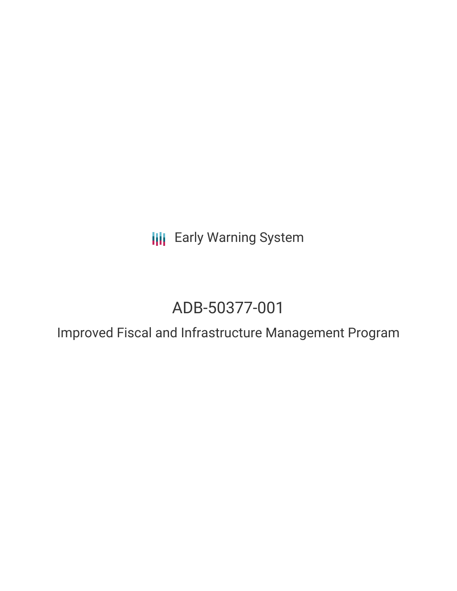**III** Early Warning System

# ADB-50377-001

Improved Fiscal and Infrastructure Management Program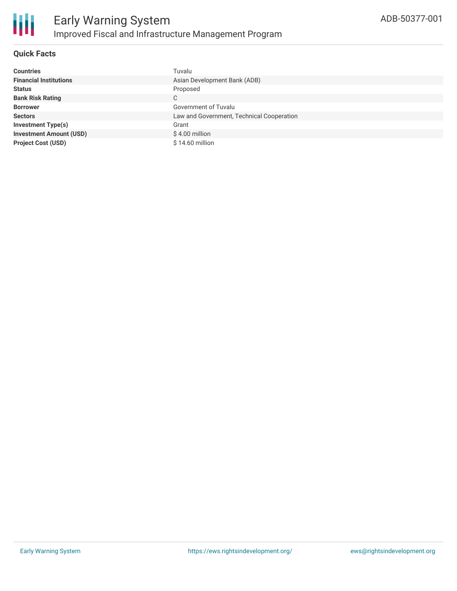

## **Quick Facts**

| <b>Countries</b>               | Tuvalu                                    |
|--------------------------------|-------------------------------------------|
| <b>Financial Institutions</b>  | Asian Development Bank (ADB)              |
| <b>Status</b>                  | Proposed                                  |
| <b>Bank Risk Rating</b>        | C                                         |
| <b>Borrower</b>                | Government of Tuvalu                      |
| <b>Sectors</b>                 | Law and Government, Technical Cooperation |
| <b>Investment Type(s)</b>      | Grant                                     |
| <b>Investment Amount (USD)</b> | $$4.00$ million                           |
| <b>Project Cost (USD)</b>      | $$14.60$ million                          |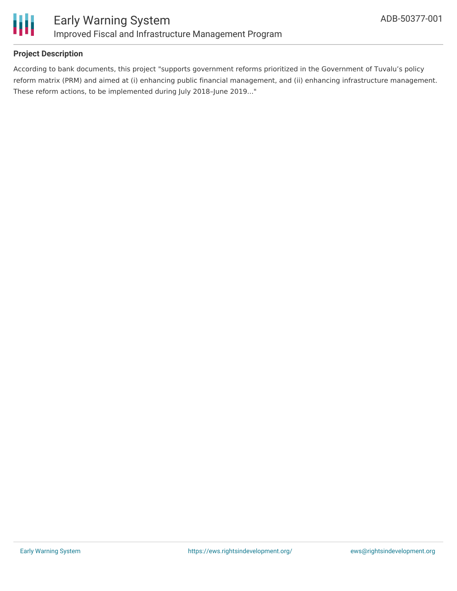

# **Project Description**

According to bank documents, this project "supports government reforms prioritized in the Government of Tuvalu's policy reform matrix (PRM) and aimed at (i) enhancing public financial management, and (ii) enhancing infrastructure management. These reform actions, to be implemented during July 2018–June 2019..."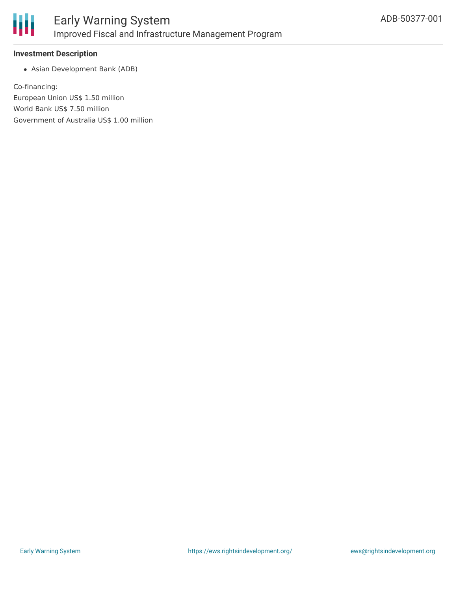

#### **Investment Description**

Asian Development Bank (ADB)

Co-financing: European Union US\$ 1.50 million World Bank US\$ 7.50 million Government of Australia US\$ 1.00 million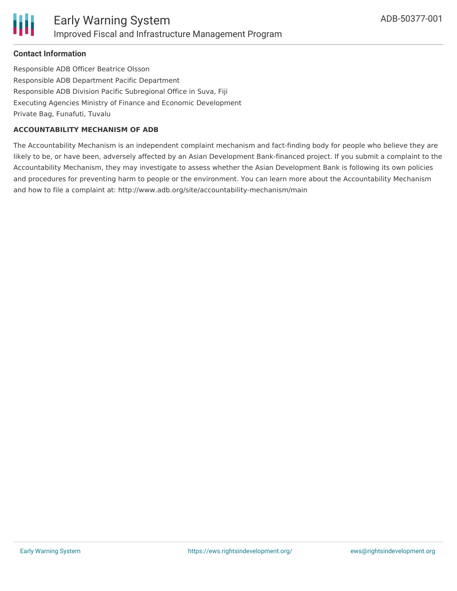## **Contact Information**

Responsible ADB Officer Beatrice Olsson Responsible ADB Department Pacific Department Responsible ADB Division Pacific Subregional Office in Suva, Fiji Executing Agencies Ministry of Finance and Economic Development Private Bag, Funafuti, Tuvalu

#### **ACCOUNTABILITY MECHANISM OF ADB**

The Accountability Mechanism is an independent complaint mechanism and fact-finding body for people who believe they are likely to be, or have been, adversely affected by an Asian Development Bank-financed project. If you submit a complaint to the Accountability Mechanism, they may investigate to assess whether the Asian Development Bank is following its own policies and procedures for preventing harm to people or the environment. You can learn more about the Accountability Mechanism and how to file a complaint at: http://www.adb.org/site/accountability-mechanism/main